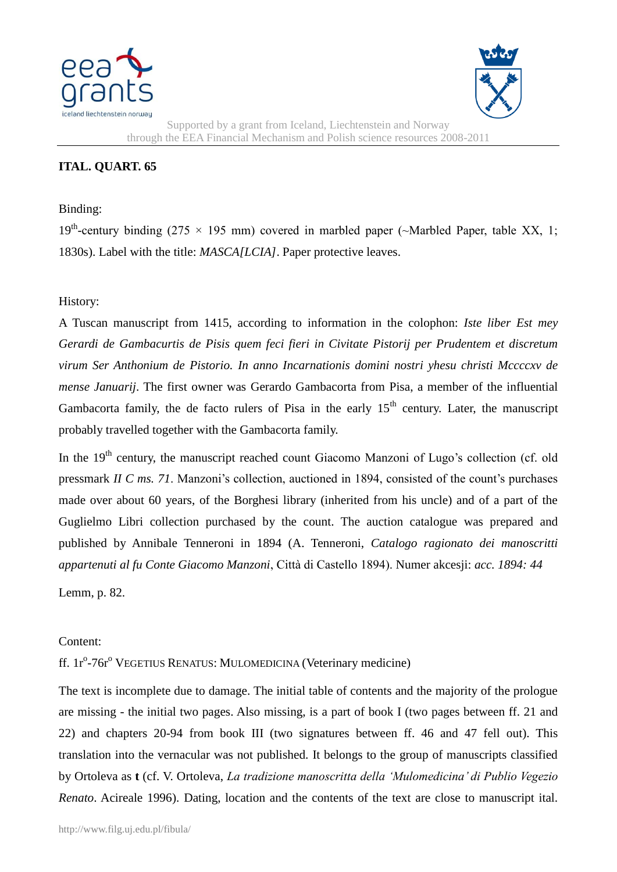



Supported by a grant from Iceland, Liechtenstein and Norway through the EEA Financial Mechanism and Polish science resources 2008-2011

## **ITAL. QUART. 65**

## Binding:

19<sup>th</sup>-century binding (275 × 195 mm) covered in marbled paper (~Marbled Paper, table XX, 1; 1830s). Label with the title: *MASCA[LCIA]*. Paper protective leaves.

## History:

A Tuscan manuscript from 1415, according to information in the colophon: *Iste liber Est mey Gerardi de Gambacurtis de Pisis quem feci fieri in Civitate Pistorij per Prudentem et discretum virum Ser Anthonium de Pistorio. In anno Incarnationis domini nostri yhesu christi Mccccxv de mense Januarij*. The first owner was Gerardo Gambacorta from Pisa, a member of the influential Gambacorta family, the de facto rulers of Pisa in the early  $15<sup>th</sup>$  century. Later, the manuscript probably travelled together with the Gambacorta family.

In the 19<sup>th</sup> century, the manuscript reached count Giacomo Manzoni of Lugo's collection (cf. old pressmark *II C ms. 71*. Manzoni's collection, auctioned in 1894, consisted of the count's purchases made over about 60 years, of the Borghesi library (inherited from his uncle) and of a part of the Guglielmo Libri collection purchased by the count. The auction catalogue was prepared and published by Annibale Tenneroni in 1894 (A. Tenneroni, *Catalogo ragionato dei manoscritti appartenuti al fu Conte Giacomo Manzoni*, Città di Castello 1894). Numer akcesji: *acc. 1894: 44*

Lemm, p. 82.

## Content:

ff. 1r<sup>o</sup>-76r<sup>o</sup> VEGETIUS RENATUS: MULOMEDICINA (Veterinary medicine)

The text is incomplete due to damage. The initial table of contents and the majority of the prologue are missing - the initial two pages. Also missing, is a part of book I (two pages between ff. 21 and 22) and chapters 20-94 from book III (two signatures between ff. 46 and 47 fell out). This translation into the vernacular was not published. It belongs to the group of manuscripts classified by Ortoleva as **t** (cf. V. Ortoleva, *La tradizione manoscritta della 'Mulomedicina' di Publio Vegezio Renato*. Acireale 1996). Dating, location and the contents of the text are close to manuscript ital.